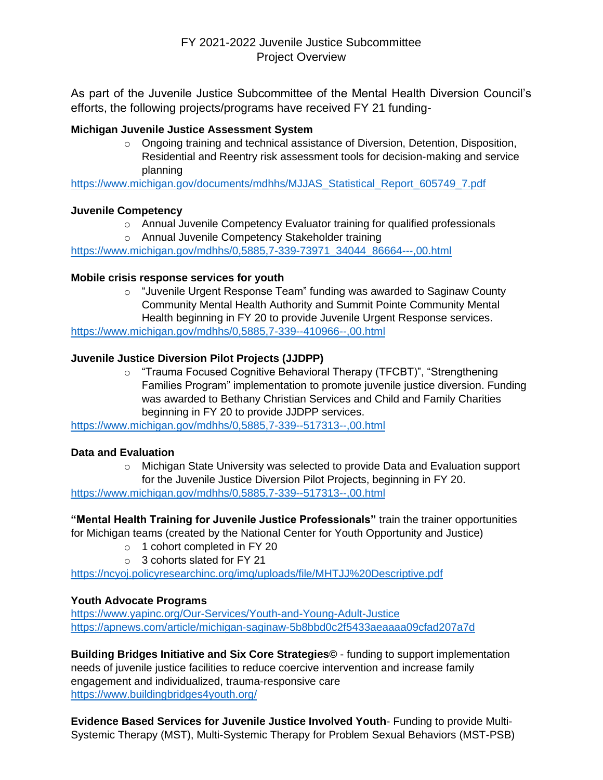# FY 2021-2022 Juvenile Justice Subcommittee Project Overview

As part of the Juvenile Justice Subcommittee of the Mental Health Diversion Council's efforts, the following projects/programs have received FY 21 funding-

## **Michigan Juvenile Justice Assessment System**

 $\circ$  Ongoing training and technical assistance of Diversion, Detention, Disposition, Residential and Reentry risk assessment tools for decision-making and service planning

[https://www.michigan.gov/documents/mdhhs/MJJAS\\_Statistical\\_Report\\_605749\\_7.pdf](https://www.michigan.gov/documents/mdhhs/MJJAS_Statistical_Report_605749_7.pdf)

#### **Juvenile Competency**

- $\circ$  Annual Juvenile Competency Evaluator training for qualified professionals
- o Annual Juvenile Competency Stakeholder training

[https://www.michigan.gov/mdhhs/0,5885,7-339-73971\\_34044\\_86664---,00.html](https://www.michigan.gov/mdhhs/0,5885,7-339-73971_34044_86664---,00.html)

#### **Mobile crisis response services for youth**

o "Juvenile Urgent Response Team" funding was awarded to Saginaw County Community Mental Health Authority and Summit Pointe Community Mental Health beginning in FY 20 to provide Juvenile Urgent Response services.

<https://www.michigan.gov/mdhhs/0,5885,7-339--410966--,00.html>

### **Juvenile Justice Diversion Pilot Projects (JJDPP)**

o "Trauma Focused Cognitive Behavioral Therapy (TFCBT)", "Strengthening Families Program" implementation to promote juvenile justice diversion. Funding was awarded to Bethany Christian Services and Child and Family Charities beginning in FY 20 to provide JJDPP services.

<https://www.michigan.gov/mdhhs/0,5885,7-339--517313--,00.html>

#### **Data and Evaluation**

 $\circ$  Michigan State University was selected to provide Data and Evaluation support for the Juvenile Justice Diversion Pilot Projects, beginning in FY 20. <https://www.michigan.gov/mdhhs/0,5885,7-339--517313--,00.html>

**"Mental Health Training for Juvenile Justice Professionals"** train the trainer opportunities for Michigan teams (created by the National Center for Youth Opportunity and Justice)

- o 1 cohort completed in FY 20
- o 3 cohorts slated for FY 21

<https://ncyoj.policyresearchinc.org/img/uploads/file/MHTJJ%20Descriptive.pdf>

#### **Youth Advocate Programs**

<https://www.yapinc.org/Our-Services/Youth-and-Young-Adult-Justice> <https://apnews.com/article/michigan-saginaw-5b8bbd0c2f5433aeaaaa09cfad207a7d>

**Building Bridges Initiative and Six Core Strategies©** - funding to support implementation needs of juvenile justice facilities to reduce coercive intervention and increase family engagement and individualized, trauma-responsive care <https://www.buildingbridges4youth.org/>

**Evidence Based Services for Juvenile Justice Involved Youth**- Funding to provide Multi-Systemic Therapy (MST), Multi-Systemic Therapy for Problem Sexual Behaviors (MST-PSB)